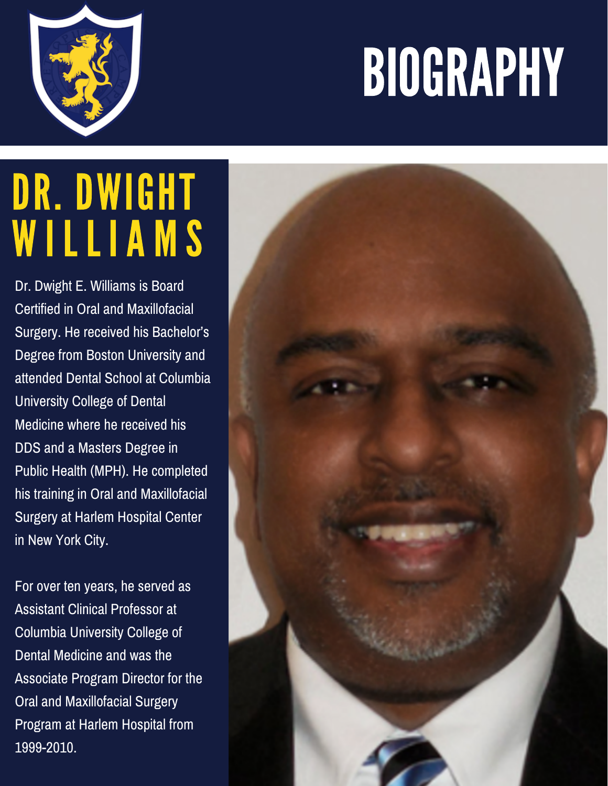## BIOGRAPHY



## DR. DWIGHT WILLIAMS

Dr. Dwight E. Williams is Board Certified in Oral and Maxillofacial Surgery. He received his Bachelor's Degree from Boston University and attended Dental School at Columbia University College of Dental Medicine where he received his DDS and a Masters Degree in Public Health (MPH). He completed his training in Oral and Maxillofacial Surgery at Harlem Hospital Center in New York City.

For over ten years, he served as Assistant Clinical Professor at Columbia University College of Dental Medicine and was the Associate Program Director for the Oral and Maxillofacial Surgery Program at Harlem Hospital from 1999-2010.